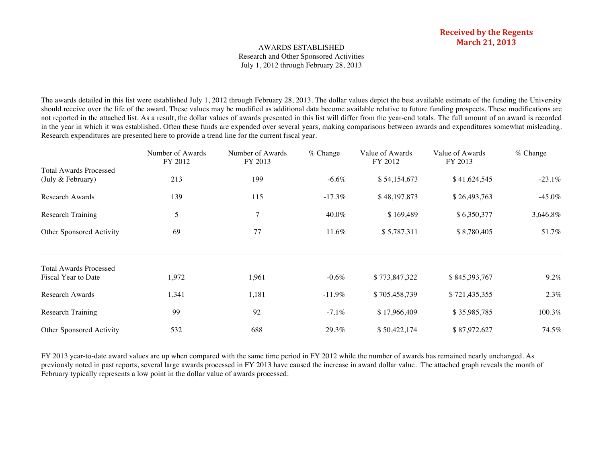# AWARDS ESTABLISHED Research and Other Sponsored Activities July 1, 2012 through February 28, 2013

The awards detailed in this list were established July 1, 2012 through February 28, 2013. The dollar values depict the best available estimate of the funding the University should receive over the life of the award. These values may be modified as additional data become available relative to future funding prospects. These modifications are not reported in the attached list. As a result, the dollar values of awards presented in this list will differ from the year-end totals. The full amount of an award is recorded in the year in which it was established. Often these funds are expended over several years, making comparisons between awards and expenditures somewhat misleading. Research expenditures are presented here to provide a trend line for the current fiscal year.

|                               | Number of Awards<br>FY 2012 | Number of Awards<br>FY 2013 | $%$ Change | Value of Awards<br>FY 2012 | Value of Awards<br>FY 2013 | $%$ Change |
|-------------------------------|-----------------------------|-----------------------------|------------|----------------------------|----------------------------|------------|
| <b>Total Awards Processed</b> |                             |                             |            |                            |                            |            |
| (July & February)             | 213                         | 199                         | $-6.6\%$   | \$54,154,673               | \$41,624,545               | $-23.1\%$  |
| Research Awards               | 139                         | 115                         | $-17.3\%$  | \$48,197,873               | \$26,493,763               | $-45.0\%$  |
| <b>Research Training</b>      | 5                           | 7                           | 40.0%      | \$169,489                  | \$6,350,377                | 3,646.8%   |
| Other Sponsored Activity      | 69                          | 77                          | 11.6%      | \$5,787,311                | \$8,780,405                | 51.7%      |
| <b>Total Awards Processed</b> |                             |                             |            |                            |                            |            |
| Fiscal Year to Date           | 1,972                       | 1,961                       | $-0.6\%$   | \$773,847,322              | \$845,393,767              | 9.2%       |
| Research Awards               | 1,341                       | 1,181                       | $-11.9\%$  | \$705,458,739              | \$721,435,355              | 2.3%       |
| Research Training             | 99                          | 92                          | $-7.1\%$   | \$17,966,409               | \$35,985,785               | 100.3%     |
| Other Sponsored Activity      | 532                         | 688                         | 29.3%      | \$50,422,174               | \$87,972,627               | 74.5%      |

FY 2013 year-to-date award values are up when compared with the same time period in FY 2012 while the number of awards has remained nearly unchanged. As previously noted in past reports, several large awards processed in FY 2013 have caused the increase in award dollar value. The attached graph reveals the month of February typically represents a low point in the dollar value of awards processed.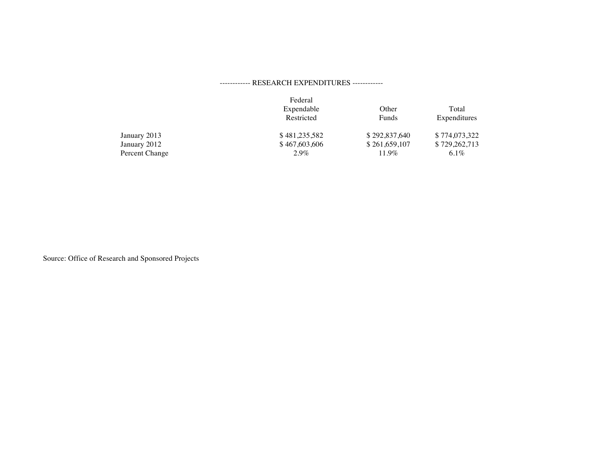# ------------ RESEARCH EXPENDITURES ------------

|                | Federal<br>Expendable | Other         | Total         |
|----------------|-----------------------|---------------|---------------|
|                | Restricted            | Funds         | Expenditures  |
| January 2013   | \$481,235,582         | \$292,837,640 | \$774,073,322 |
| January 2012   | \$467,603,606         | \$261,659,107 | \$729,262,713 |
| Percent Change | $2.9\%$               | 11.9%         | 6.1%          |

Source: Office of Research and Sponsored Projects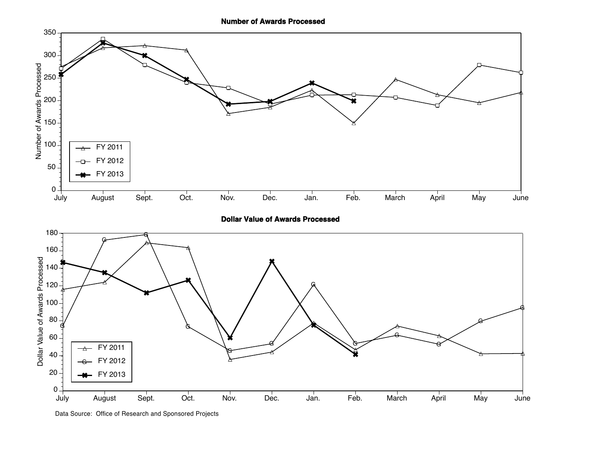

**Dollar Value of Awards Processed**

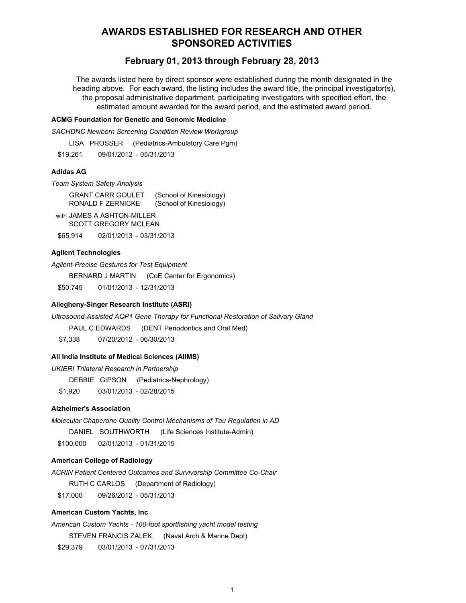# **AWARDS ESTABLISHED FOR RESEARCH AND OTHER SPONSORED ACTIVITIES**

# **February 01, 2013 through February 28, 2013**

The awards listed here by direct sponsor were established during the month designated in the heading above. For each award, the listing includes the award title, the principal investigator(s), the proposal administrative department, participating investigators with specified effort, the estimated amount awarded for the award period, and the estimated award period.

### **ACMG Foundation for Genetic and Genomic Medicine**

*SACHDNC Newborn Screening Condition Review Workgroup*

LISA PROSSER (Pediatrics-Ambulatory Care Pgm)

\$19,261 09/01/2012 - 05/31/2013

# **Adidas AG**

*Team System Safety Analysis*

GRANT CARR GOULET (School of Kinesiology) RONALD F ZERNICKE (School of Kinesiology)

with JAMES A ASHTON-MILLER SCOTT GREGORY MCLEAN

\$65,914 02/01/2013 - 03/31/2013

# **Agilent Technologies**

*Agilent-Precise Gestures for Test Equipment*

BERNARD J MARTIN (CoE Center for Ergonomics)

\$50,745 01/01/2013 - 12/31/2013

### **Allegheny-Singer Research Institute (ASRI)**

*Ultrasound-Assisted AQP1 Gene Therapy for Functional Restoration of Salivary Gland* 

PAUL C EDWARDS (DENT Periodontics and Oral Med)

\$7,338 07/20/2012 - 06/30/2013

# **All India Institute of Medical Sciences (AIIMS)**

*UKIERI Trilateral Research in Partnership* 

DEBBIE GIPSON (Pediatrics-Nephrology)

\$1,920 03/01/2013 - 02/28/2015

# **Alzheimer's Association**

*Molecular Chaperone Quality Control Mechanisms of Tau Regulation in AD* DANIEL SOUTHWORTH (Life Sciences Institute-Admin) \$100,000 02/01/2013 - 01/31/2015

# **American College of Radiology**

*ACRIN Patient Centered Outcomes and Survivorship Committee Co-Chair* RUTH C CARLOS (Department of Radiology) \$17,000 09/26/2012 - 05/31/2013

# **American Custom Yachts, Inc**

*American Custom Yachts - 100-foot sportfishing yacht model testing* STEVEN FRANCIS ZALEK (Naval Arch & Marine Dept) \$29,379 03/01/2013 - 07/31/2013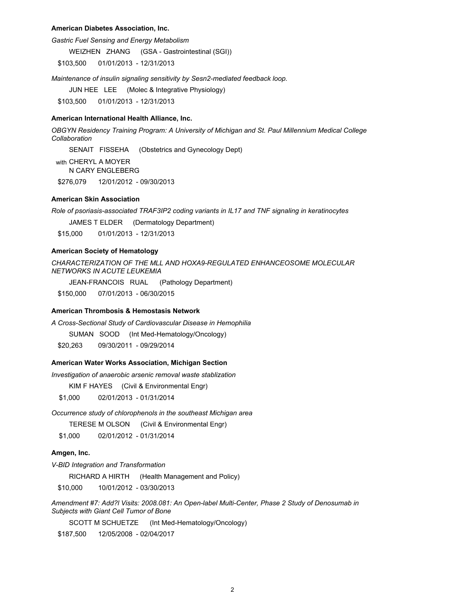#### **American Diabetes Association, Inc.**

*Gastric Fuel Sensing and Energy Metabolism*

WEIZHEN ZHANG (GSA - Gastrointestinal (SGI))

\$103,500 01/01/2013 - 12/31/2013

*Maintenance of insulin signaling sensitivity by Sesn2-mediated feedback loop.*

JUN HEE LEE (Molec & Integrative Physiology)

\$103,500 01/01/2013 - 12/31/2013

#### **American International Health Alliance, Inc.**

*OBGYN Residency Training Program: A University of Michigan and St. Paul Millennium Medical College Collaboration*

SENAIT FISSEHA (Obstetrics and Gynecology Dept)

with CHERYL A MOYER N CARY ENGLEBERG

\$276,079 12/01/2012 - 09/30/2013

### **American Skin Association**

*Role of psoriasis-associated TRAF3IP2 coding variants in IL17 and TNF signaling in keratinocytes*

JAMES T ELDER (Dermatology Department)

\$15,000 01/01/2013 - 12/31/2013

### **American Society of Hematology**

*CHARACTERIZATION OF THE MLL AND HOXA9-REGULATED ENHANCEOSOME MOLECULAR NETWORKS IN ACUTE LEUKEMIA*

JEAN-FRANCOIS RUAL (Pathology Department)

\$150,000 07/01/2013 - 06/30/2015

#### **American Thrombosis & Hemostasis Network**

*A Cross-Sectional Study of Cardiovascular Disease in Hemophilia*

SUMAN SOOD (Int Med-Hematology/Oncology)

\$20,263 09/30/2011 - 09/29/2014

#### **American Water Works Association, Michigan Section**

*Investigation of anaerobic arsenic removal waste stablization*

KIM F HAYES (Civil & Environmental Engr)

\$1,000 02/01/2013 - 01/31/2014

*Occurrence study of chlorophenols in the southeast Michigan area*

TERESE M OLSON (Civil & Environmental Engr)

\$1,000 02/01/2012 - 01/31/2014

### **Amgen, Inc.**

*V-BID Integration and Transformation*

RICHARD A HIRTH (Health Management and Policy)

\$10,000 10/01/2012 - 03/30/2013

*Amendment #7: Add?l Visits: 2008.081: An Open-label Multi-Center, Phase 2 Study of Denosumab in Subjects with Giant Cell Tumor of Bone*

SCOTT M SCHUETZE (Int Med-Hematology/Oncology)

\$187,500 12/05/2008 - 02/04/2017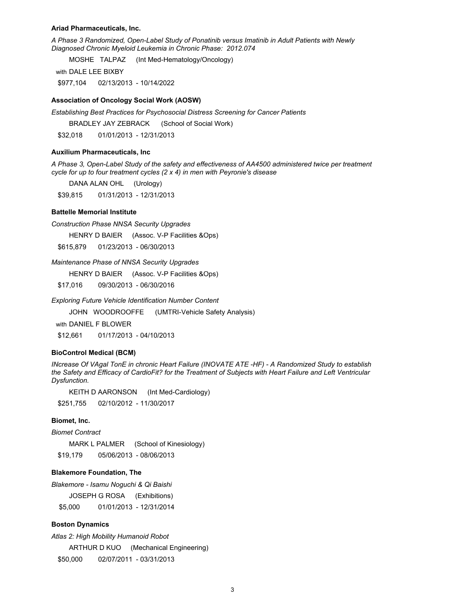#### **Ariad Pharmaceuticals, Inc.**

*A Phase 3 Randomized, Open-Label Study of Ponatinib versus Imatinib in Adult Patients with Newly Diagnosed Chronic Myeloid Leukemia in Chronic Phase: 2012.074*

MOSHE TALPAZ (Int Med-Hematology/Oncology)

with DALE LEE BIXBY

\$977,104 02/13/2013 - 10/14/2022

### **Association of Oncology Social Work (AOSW)**

*Establishing Best Practices for Psychosocial Distress Screening for Cancer Patients*

BRADLEY JAY ZEBRACK (School of Social Work)

\$32,018 01/01/2013 - 12/31/2013

#### **Auxilium Pharmaceuticals, Inc**

*A Phase 3, Open-Label Study of the safety and effectiveness of AA4500 administered twice per treatment cycle for up to four treatment cycles (2 x 4) in men with Peyronie's disease*

DANA ALAN OHL (Urology)

\$39,815 01/31/2013 - 12/31/2013

### **Battelle Memorial Institute**

*Construction Phase NNSA Security Upgrades*

HENRY D BAIER (Assoc. V-P Facilities &Ops)

\$615,879 01/23/2013 - 06/30/2013

#### *Maintenance Phase of NNSA Security Upgrades*

HENRY D BAIER (Assoc. V-P Facilities &Ops)

\$17,016 09/30/2013 - 06/30/2016

*Exploring Future Vehicle Identification Number Content*

JOHN WOODROOFFE (UMTRI-Vehicle Safety Analysis)

with DANIEL F BLOWER

\$12,661 01/17/2013 - 04/10/2013

#### **BioControl Medical (BCM)**

*INcrease Of VAgal TonE in chronic Heart Failure (INOVATE ATE -HF) - A Randomized Study to establish the Safety and Efficacy of CardioFit? for the Treatment of Subjects with Heart Failure and Left Ventricular Dysfunction.*

KEITH D AARONSON (Int Med-Cardiology)

\$251,755 02/10/2012 - 11/30/2017

#### **Biomet, Inc.**

*Biomet Contract*

MARK L PALMER (School of Kinesiology) \$19,179 05/06/2013 - 08/06/2013

#### **Blakemore Foundation, The**

*Blakemore - Isamu Noguchi & Qi Baishi*

JOSEPH G ROSA (Exhibitions)

\$5,000 01/01/2013 - 12/31/2014

### **Boston Dynamics**

*Atlas 2: High Mobility Humanoid Robot* ARTHUR D KUO (Mechanical Engineering)

\$50,000 02/07/2011 - 03/31/2013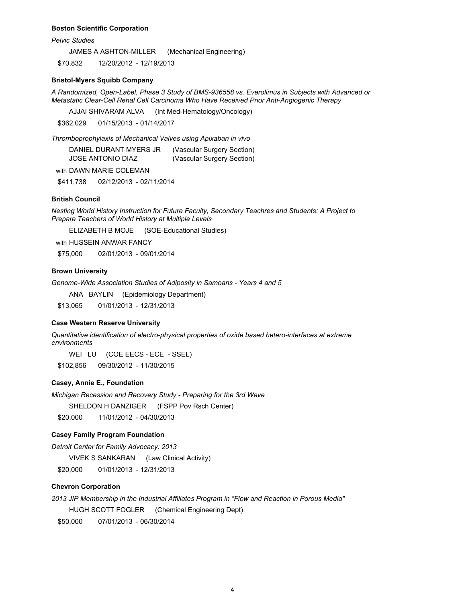#### **Boston Scientific Corporation**

*Pelvic Studies*

JAMES A ASHTON-MILLER (Mechanical Engineering)

\$70,832 12/20/2012 - 12/19/2013

### **Bristol-Myers Squibb Company**

*A Randomized, Open-Label, Phase 3 Study of BMS-936558 vs. Everolimus in Subjects with Advanced or Metastatic Clear-Cell Renal Cell Carcinoma Who Have Received Prior Anti-Angiogenic Therapy*

AJJAI SHIVARAM ALVA (Int Med-Hematology/Oncology)

\$362,029 01/15/2013 - 01/14/2017

*Thromboprophylaxis of Mechanical Valves using Apixaban in vivo*

| DANIEL DURANT MYERS JR | (Vascular Surgery Section) |
|------------------------|----------------------------|
| JOSE ANTONIO DIAZ      | (Vascular Surgery Section) |

with DAWN MARIE COLEMAN

\$411,738 02/12/2013 - 02/11/2014

### **British Council**

*Nesting World History Instruction for Future Faculty, Secondary Teachres and Students: A Project to Prepare Teachers of World History at Multiple Levels*

ELIZABETH B MOJE (SOE-Educational Studies)

with HUSSEIN ANWAR FANCY

\$75,000 02/01/2013 - 09/01/2014

#### **Brown University**

*Genome-Wide Association Studies of Adiposity in Samoans - Years 4 and 5*

ANA BAYLIN (Epidemiology Department)

\$13,065 01/01/2013 - 12/31/2013

### **Case Western Reserve University**

*Quantitative identification of electro-physical properties of oxide based hetero-interfaces at extreme environments*

WEI LU (COE EECS - ECE - SSEL)

\$102,856 09/30/2012 - 11/30/2015

### **Casey, Annie E., Foundation**

*Michigan Recession and Recovery Study - Preparing for the 3rd Wave*

SHELDON H DANZIGER (FSPP Pov Rsch Center)

\$20,000 11/01/2012 - 04/30/2013

# **Casey Family Program Foundation**

*Detroit Center for Family Advocacy: 2013*

VIVEK S SANKARAN (Law Clinical Activity)

\$20,000 01/01/2013 - 12/31/2013

### **Chevron Corporation**

*2013 JIP Membership in the Industrial Affiliates Program in "Flow and Reaction in Porous Media"* HUGH SCOTT FOGLER (Chemical Engineering Dept)

\$50,000 07/01/2013 - 06/30/2014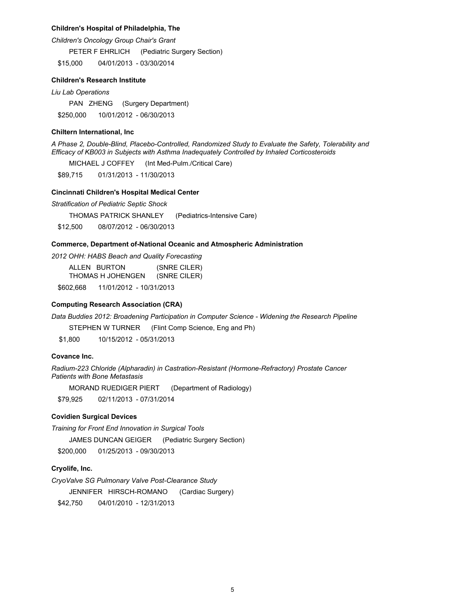### **Children's Hospital of Philadelphia, The**

*Children's Oncology Group Chair's Grant*

PETER F EHRLICH (Pediatric Surgery Section)

\$15,000 04/01/2013 - 03/30/2014

#### **Children's Research Institute**

*Liu Lab Operations*

PAN ZHENG (Surgery Department) \$250,000 10/01/2012 - 06/30/2013

#### **Chiltern International, Inc**

*A Phase 2, Double-Blind, Placebo-Controlled, Randomized Study to Evaluate the Safety, Tolerability and Efficacy of KB003 in Subjects with Asthma Inadequately Controlled by Inhaled Corticosteroids*

MICHAEL J COFFEY (Int Med-Pulm./Critical Care)

\$89,715 01/31/2013 - 11/30/2013

#### **Cincinnati Children's Hospital Medical Center**

*Stratification of Pediatric Septic Shock*

THOMAS PATRICK SHANLEY (Pediatrics-Intensive Care)

\$12,500 08/07/2012 - 06/30/2013

# **Commerce, Department of-National Oceanic and Atmospheric Administration**

*2012 OHH: HABS Beach and Quality Forecasting*

ALLEN BURTON (SNRE CILER) THOMAS H JOHENGEN (SNRE CILER)

\$602,668 11/01/2012 - 10/31/2013

### **Computing Research Association (CRA)**

*Data Buddies 2012: Broadening Participation in Computer Science - Widening the Research Pipeline*

STEPHEN W TURNER (Flint Comp Science, Eng and Ph)

\$1,800 10/15/2012 - 05/31/2013

# **Covance Inc.**

*Radium-223 Chloride (Alpharadin) in Castration-Resistant (Hormone-Refractory) Prostate Cancer Patients with Bone Metastasis*

MORAND RUEDIGER PIERT (Department of Radiology)

\$79,925 02/11/2013 - 07/31/2014

### **Covidien Surgical Devices**

*Training for Front End Innovation in Surgical Tools*

JAMES DUNCAN GEIGER (Pediatric Surgery Section)

\$200,000 01/25/2013 - 09/30/2013

# **Cryolife, Inc.**

*CryoValve SG Pulmonary Valve Post-Clearance Study*

JENNIFER HIRSCH-ROMANO (Cardiac Surgery)

\$42,750 04/01/2010 - 12/31/2013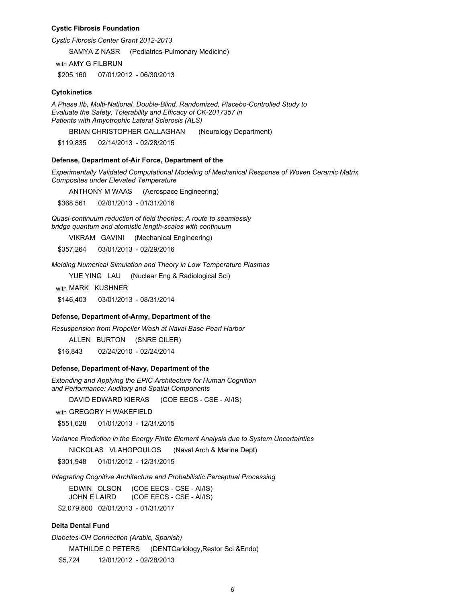#### **Cystic Fibrosis Foundation**

*Cystic Fibrosis Center Grant 2012-2013*

SAMYA Z NASR (Pediatrics-Pulmonary Medicine)

with AMY G FILBRUN

\$205,160 07/01/2012 - 06/30/2013

### **Cytokinetics**

*A Phase IIb, Multi-National, Double-Blind, Randomized, Placebo-Controlled Study to Evaluate the Safety, Tolerability and Efficacy of CK-2017357 in Patients with Amyotrophic Lateral Sclerosis (ALS)*

BRIAN CHRISTOPHER CALLAGHAN (Neurology Department)

\$119,835 02/14/2013 - 02/28/2015

#### **Defense, Department of-Air Force, Department of the**

*Experimentally Validated Computational Modeling of Mechanical Response of Woven Ceramic Matrix Composites under Elevated Temperature*

ANTHONY M WAAS (Aerospace Engineering)

\$368,561 02/01/2013 - 01/31/2016

*Quasi-continuum reduction of field theories: A route to seamlessly bridge quantum and atomistic length-scales with continuum*

VIKRAM GAVINI (Mechanical Engineering)

\$357,264 03/01/2013 - 02/29/2016

*Melding Numerical Simulation and Theory in Low Temperature Plasmas*

YUE YING LAU (Nuclear Eng & Radiological Sci)

with MARK KUSHNER

\$146,403 03/01/2013 - 08/31/2014

#### **Defense, Department of-Army, Department of the**

*Resuspension from Propeller Wash at Naval Base Pearl Harbor*

ALLEN BURTON (SNRE CILER)

\$16,843 02/24/2010 - 02/24/2014

#### **Defense, Department of-Navy, Department of the**

*Extending and Applying the EPIC Architecture for Human Cognition and Performance: Auditory and Spatial Components*

DAVID EDWARD KIERAS (COE EECS - CSE - AI/IS)

with GREGORY H WAKEFIELD

\$551,628 01/01/2013 - 12/31/2015

*Variance Prediction in the Energy Finite Element Analysis due to System Uncertainties*

NICKOLAS VLAHOPOULOS (Naval Arch & Marine Dept)

\$301,948 01/01/2012 - 12/31/2015

*Integrating Cognitive Architecture and Probabilistic Perceptual Processing*

EDWIN OLSON (COE EECS - CSE - AI/IS) JOHN E LAIRD (COE EECS - CSE - AI/IS) \$2,079,800 02/01/2013 - 01/31/2017

#### **Delta Dental Fund**

*Diabetes-OH Connection (Arabic, Spanish)*

MATHILDE C PETERS (DENTCariology, Restor Sci & Endo)

\$5,724 12/01/2012 - 02/28/2013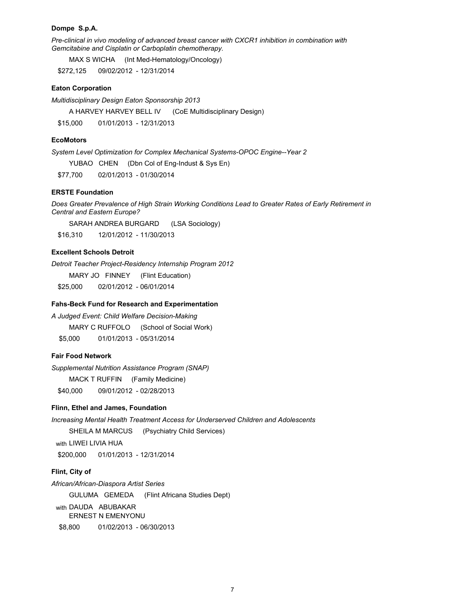### **Dompe S.p.A.**

*Pre-clinical in vivo modeling of advanced breast cancer with CXCR1 inhibition in combination with Gemcitabine and Cisplatin or Carboplatin chemotherapy.*

MAX S WICHA (Int Med-Hematology/Oncology)

\$272,125 09/02/2012 - 12/31/2014

### **Eaton Corporation**

*Multidisciplinary Design Eaton Sponsorship 2013*

A HARVEY HARVEY BELL IV (CoE Multidisciplinary Design)

\$15,000 01/01/2013 - 12/31/2013

### **EcoMotors**

*System Level Optimization for Complex Mechanical Systems-OPOC Engine--Year 2*

YUBAO CHEN (Dbn Col of Eng-Indust & Sys En)

\$77,700 02/01/2013 - 01/30/2014

# **ERSTE Foundation**

*Does Greater Prevalence of High Strain Working Conditions Lead to Greater Rates of Early Retirement in Central and Eastern Europe?*

SARAH ANDREA BURGARD (LSA Sociology)

\$16,310 12/01/2012 - 11/30/2013

# **Excellent Schools Detroit**

*Detroit Teacher Project-Residency Internship Program 2012*

MARY JO FINNEY (Flint Education)

\$25,000 02/01/2012 - 06/01/2014

### **Fahs-Beck Fund for Research and Experimentation**

*A Judged Event: Child Welfare Decision-Making*

MARY C RUFFOLO (School of Social Work)

\$5,000 01/01/2013 - 05/31/2014

# **Fair Food Network**

*Supplemental Nutrition Assistance Program (SNAP)*

MACK T RUFFIN (Family Medicine)

\$40,000 09/01/2012 - 02/28/2013

### **Flinn, Ethel and James, Foundation**

*Increasing Mental Health Treatment Access for Underserved Children and Adolescents*

SHEILA M MARCUS (Psychiatry Child Services)

with LIWEI LIVIA HUA

\$200,000 01/01/2013 - 12/31/2014

### **Flint, City of**

*African/African-Diaspora Artist Series*

GULUMA GEMEDA (Flint Africana Studies Dept)

with DAUDA ABUBAKAR

ERNEST N EMENYONU

\$8,800 01/02/2013 - 06/30/2013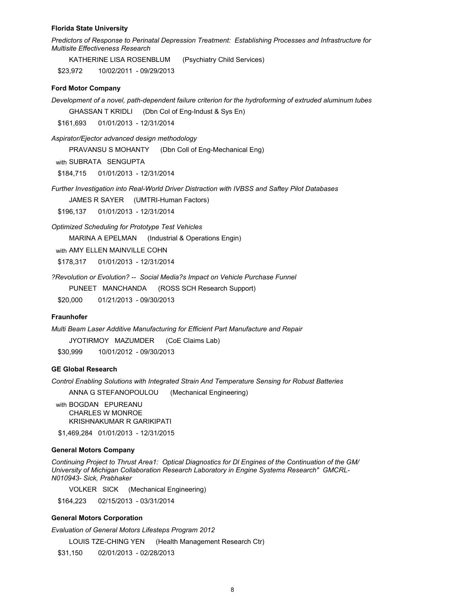#### **Florida State University**

*Predictors of Response to Perinatal Depression Treatment: Establishing Processes and Infrastructure for Multisite Effectiveness Research*

KATHERINE LISA ROSENBLUM (Psychiatry Child Services)

\$23,972 10/02/2011 - 09/29/2013

### **Ford Motor Company**

*Development of a novel, path-dependent failure criterion for the hydroforming of extruded aluminum tubes*

GHASSAN T KRIDLI (Dbn Col of Eng-Indust & Sys En)

\$161,693 01/01/2013 - 12/31/2014

*Aspirator/Ejector advanced design methodology*

PRAVANSU S MOHANTY (Dbn Coll of Eng-Mechanical Eng)

with SUBRATA SENGUPTA

\$184,715 01/01/2013 - 12/31/2014

*Further Investigation into Real-World Driver Distraction with IVBSS and Saftey Pilot Databases*

JAMES R SAYER (UMTRI-Human Factors)

\$196,137 01/01/2013 - 12/31/2014

*Optimized Scheduling for Prototype Test Vehicles*

MARINA A EPELMAN (Industrial & Operations Engin)

with AMY ELLEN MAINVILLE COHN

\$178,317 01/01/2013 - 12/31/2014

*?Revolution or Evolution? -- Social Media?s Impact on Vehicle Purchase Funnel*

PUNEET MANCHANDA (ROSS SCH Research Support)

\$20,000 01/21/2013 - 09/30/2013

#### **Fraunhofer**

*Multi Beam Laser Additive Manufacturing for Efficient Part Manufacture and Repair* JYOTIRMOY MAZUMDER (CoE Claims Lab)

\$30,999 10/01/2012 - 09/30/2013

# **GE Global Research**

*Control Enabling Solutions with Integrated Strain And Temperature Sensing for Robust Batteries*

ANNA G STEFANOPOULOU (Mechanical Engineering)

with BOGDAN EPUREANU CHARLES W MONROE KRISHNAKUMAR R GARIKIPATI

\$1,469,284 01/01/2013 - 12/31/2015

#### **General Motors Company**

*Continuing Project to Thrust Area1: Optical Diagnostics for Dl Engines of the Continuation of the GM/ University of Michigan Collaboration Research Laboratory in Engine Systems Research" GMCRL-N010943- Sick, Prabhaker*

VOLKER SICK (Mechanical Engineering)

\$164,223 02/15/2013 - 03/31/2014

#### **General Motors Corporation**

*Evaluation of General Motors Lifesteps Program 2012*

LOUIS TZE-CHING YEN (Health Management Research Ctr)

\$31,150 02/01/2013 - 02/28/2013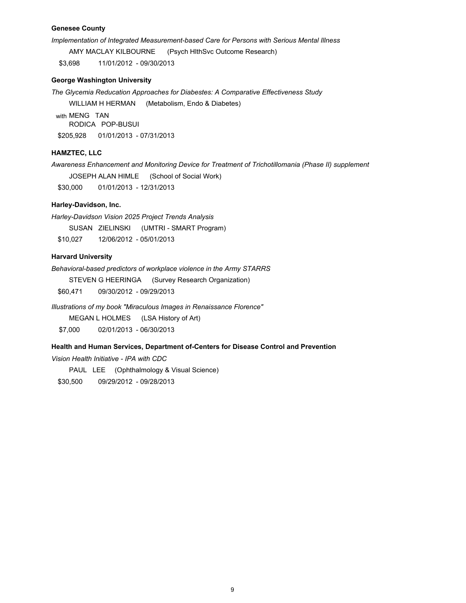### **Genesee County**

*Implementation of Integrated Measurement-based Care for Persons with Serious Mental Illness*

AMY MACLAY KILBOURNE (Psych HlthSvc Outcome Research)

\$3,698 11/01/2012 - 09/30/2013

### **George Washington University**

*The Glycemia Reducation Approaches for Diabestes: A Comparative Effectiveness Study*

WILLIAM H HERMAN (Metabolism, Endo & Diabetes)

with MENG TAN RODICA POP-BUSUI \$205,928 01/01/2013 - 07/31/2013

### **HAMZTEC, LLC**

*Awareness Enhancement and Monitoring Device for Treatment of Trichotillomania (Phase II) supplement*

JOSEPH ALAN HIMLE (School of Social Work)

\$30,000 01/01/2013 - 12/31/2013

# **Harley-Davidson, Inc.**

*Harley-Davidson Vision 2025 Project Trends Analysis* 

SUSAN ZIELINSKI (UMTRI - SMART Program)

\$10,027 12/06/2012 - 05/01/2013

# **Harvard University**

*Behavioral-based predictors of workplace violence in the Army STARRS*

STEVEN G HEERINGA (Survey Research Organization)

\$60,471 09/30/2012 - 09/29/2013

*Illustrations of my book "Miraculous Images in Renaissance Florence"*

MEGAN L HOLMES (LSA History of Art) \$7,000 02/01/2013 - 06/30/2013

### **Health and Human Services, Department of-Centers for Disease Control and Prevention**

*Vision Health Initiative - IPA with CDC* 

PAUL LEE (Ophthalmology & Visual Science)

\$30,500 09/29/2012 - 09/28/2013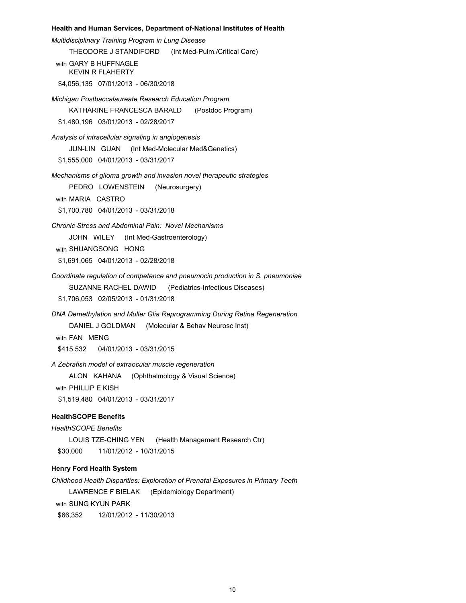#### **Health and Human Services, Department of-National Institutes of Health**

*Multidisciplinary Training Program in Lung Disease* THEODORE J STANDIFORD (Int Med-Pulm./Critical Care) with GARY B HUFFNAGLE KEVIN R FLAHERTY \$4,056,135 07/01/2013 - 06/30/2018 *Michigan Postbaccalaureate Research Education Program*  KATHARINE FRANCESCA BARALD (Postdoc Program) \$1,480,196 03/01/2013 - 02/28/2017 *Analysis of intracellular signaling in angiogenesis* JUN-LIN GUAN (Int Med-Molecular Med&Genetics) \$1,555,000 04/01/2013 - 03/31/2017 *Mechanisms of glioma growth and invasion novel therapeutic strategies* PEDRO LOWENSTEIN (Neurosurgery)

with MARIA CASTRO

\$1,700,780 04/01/2013 - 03/31/2018

*Chronic Stress and Abdominal Pain: Novel Mechanisms*

JOHN WILEY (Int Med-Gastroenterology)

with SHUANGSONG HONG

\$1,691,065 04/01/2013 - 02/28/2018

*Coordinate regulation of competence and pneumocin production in S. pneumoniae*

SUZANNE RACHEL DAWID (Pediatrics-Infectious Diseases)

\$1,706,053 02/05/2013 - 01/31/2018

*DNA Demethylation and Muller Glia Reprogramming During Retina Regeneration* DANIEL J GOLDMAN (Molecular & Behav Neurosc Inst)

with FAN MENG

\$415,532 04/01/2013 - 03/31/2015

*A Zebrafish model of extraocular muscle regeneration*

ALON KAHANA (Ophthalmology & Visual Science)

with PHILLIP E KISH

\$1,519,480 04/01/2013 - 03/31/2017

# **HealthSCOPE Benefits**

*HealthSCOPE Benefits*

LOUIS TZE-CHING YEN (Health Management Research Ctr) \$30,000 11/01/2012 - 10/31/2015

# **Henry Ford Health System**

*Childhood Health Disparities: Exploration of Prenatal Exposures in Primary Teeth* LAWRENCE F BIELAK (Epidemiology Department) with SUNG KYUN PARK \$66,352 12/01/2012 - 11/30/2013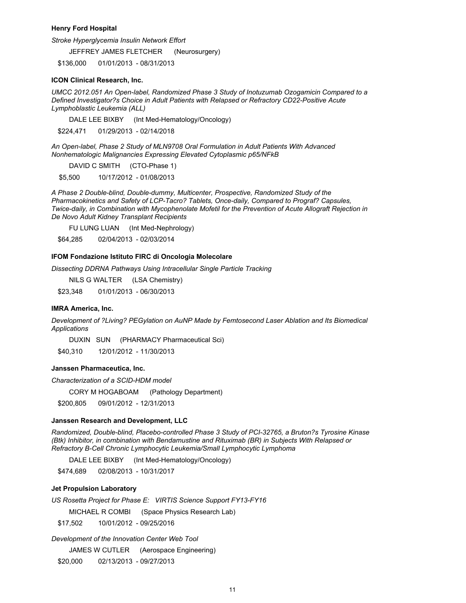#### **Henry Ford Hospital**

*Stroke Hyperglycemia Insulin Network Effort*

JEFFREY JAMES FLETCHER (Neurosurgery)

\$136,000 01/01/2013 - 08/31/2013

### **ICON Clinical Research, Inc.**

*UMCC 2012.051 An Open-label, Randomized Phase 3 Study of Inotuzumab Ozogamicin Compared to a Defined Investigator?s Choice in Adult Patients with Relapsed or Refractory CD22-Positive Acute Lymphoblastic Leukemia (ALL)*

DALE LEE BIXBY (Int Med-Hematology/Oncology)

\$224,471 01/29/2013 - 02/14/2018

*An Open-label, Phase 2 Study of MLN9708 Oral Formulation in Adult Patients With Advanced Nonhematologic Malignancies Expressing Elevated Cytoplasmic p65/NFkB*

DAVID C SMITH (CTO-Phase 1)

\$5,500 10/17/2012 - 01/08/2013

*A Phase 2 Double-blind, Double-dummy, Multicenter, Prospective, Randomized Study of the Pharmacokinetics and Safety of LCP-Tacro? Tablets, Once-daily, Compared to Prograf? Capsules, Twice-daily, in Combination with Mycophenolate Mofetil for the Prevention of Acute Allograft Rejection in De Novo Adult Kidney Transplant Recipients*

FU LUNG LUAN (Int Med-Nephrology)

\$64,285 02/04/2013 - 02/03/2014

#### **IFOM Fondazione Istituto FIRC di Oncologia Molecolare**

*Dissecting DDRNA Pathways Using Intracellular Single Particle Tracking*

NILS G WALTER (LSA Chemistry)

\$23,348 01/01/2013 - 06/30/2013

### **IMRA America, Inc.**

*Development of ?Living? PEGylation on AuNP Made by Femtosecond Laser Ablation and Its Biomedical Applications*

DUXIN SUN (PHARMACY Pharmaceutical Sci)

\$40,310 12/01/2012 - 11/30/2013

# **Janssen Pharmaceutica, Inc.**

*Characterization of a SCID-HDM model*

CORY M HOGABOAM (Pathology Department)

\$200,805 09/01/2012 - 12/31/2013

#### **Janssen Research and Development, LLC**

*Randomized, Double-blind, Placebo-controlled Phase 3 Study of PCI-32765, a Bruton?s Tyrosine Kinase (Btk) Inhibitor, in combination with Bendamustine and Rituximab (BR) in Subjects With Relapsed or Refractory B-Cell Chronic Lymphocytic Leukemia/Small Lymphocytic Lymphoma*

DALE LEE BIXBY (Int Med-Hematology/Oncology)

\$474,689 02/08/2013 - 10/31/2017

### **Jet Propulsion Laboratory**

*US Rosetta Project for Phase E: VIRTIS Science Support FY13-FY16*

MICHAEL R COMBI (Space Physics Research Lab)

\$17,502 10/01/2012 - 09/25/2016

#### *Development of the Innovation Center Web Tool*

JAMES W CUTLER (Aerospace Engineering)

\$20,000 02/13/2013 - 09/27/2013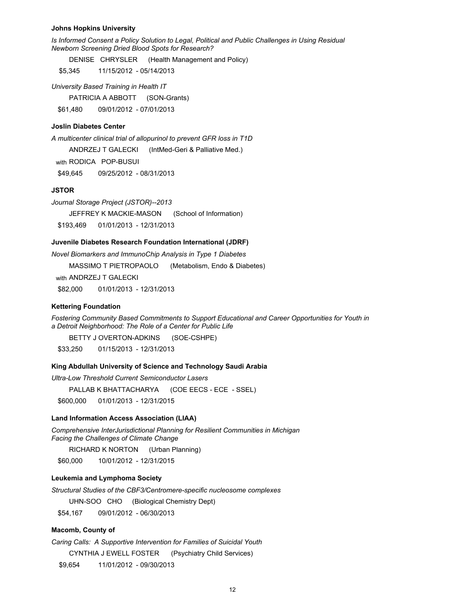#### **Johns Hopkins University**

*Is Informed Consent a Policy Solution to Legal, Political and Public Challenges in Using Residual Newborn Screening Dried Blood Spots for Research?*

DENISE CHRYSLER (Health Management and Policy)

\$5,345 11/15/2012 - 05/14/2013

*University Based Training in Health IT*

PATRICIA A ABBOTT (SON-Grants)

\$61,480 09/01/2012 - 07/01/2013

### **Joslin Diabetes Center**

*A multicenter clinical trial of allopurinol to prevent GFR loss in T1D*

ANDRZEJ T GALECKI (IntMed-Geri & Palliative Med.)

with RODICA POP-BUSUI

\$49,645 09/25/2012 - 08/31/2013

#### **JSTOR**

*Journal Storage Project (JSTOR)--2013* JEFFREY K MACKIE-MASON (School of Information) \$193,469 01/01/2013 - 12/31/2013

#### **Juvenile Diabetes Research Foundation International (JDRF)**

*Novel Biomarkers and ImmunoChip Analysis in Type 1 Diabetes*

MASSIMO T PIETROPAOLO (Metabolism, Endo & Diabetes)

with ANDRZEJ T GALECKI

\$82,000 01/01/2013 - 12/31/2013

#### **Kettering Foundation**

*Fostering Community Based Commitments to Support Educational and Career Opportunities for Youth in a Detroit Neighborhood: The Role of a Center for Public Life*

BETTY J OVERTON-ADKINS (SOE-CSHPE)

\$33,250 01/15/2013 - 12/31/2013

### **King Abdullah University of Science and Technology Saudi Arabia**

*Ultra-Low Threshold Current Semiconductor Lasers*

PALLAB K BHATTACHARYA (COE EECS - ECE - SSEL)

\$600,000 01/01/2013 - 12/31/2015

### **Land Information Access Association (LIAA)**

*Comprehensive InterJurisdictional Planning for Resilient Communities in Michigan Facing the Challenges of Climate Change*

RICHARD K NORTON (Urban Planning)

\$60,000 10/01/2012 - 12/31/2015

### **Leukemia and Lymphoma Society**

*Structural Studies of the CBF3/Centromere-specific nucleosome complexes*

UHN-SOO CHO (Biological Chemistry Dept)

\$54,167 09/01/2012 - 06/30/2013

### **Macomb, County of**

*Caring Calls: A Supportive Intervention for Families of Suicidal Youth*

CYNTHIA J EWELL FOSTER (Psychiatry Child Services)

\$9,654 11/01/2012 - 09/30/2013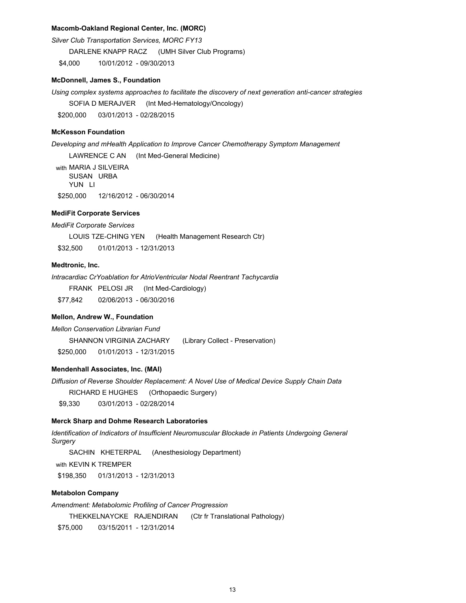### **Macomb-Oakland Regional Center, Inc. (MORC)**

*Silver Club Transportation Services, MORC FY13*

DARLENE KNAPP RACZ (UMH Silver Club Programs)

\$4,000 10/01/2012 - 09/30/2013

### **McDonnell, James S., Foundation**

*Using complex systems approaches to facilitate the discovery of next generation anti-cancer strategies* SOFIA D MERAJVER (Int Med-Hematology/Oncology)

\$200,000 03/01/2013 - 02/28/2015

#### **McKesson Foundation**

*Developing and mHealth Application to Improve Cancer Chemotherapy Symptom Management*

LAWRENCE C AN (Int Med-General Medicine) with MARIA J SILVEIRA SUSAN URBA YUN LI \$250,000 12/16/2012 - 06/30/2014

# **MediFit Corporate Services**

*MediFit Corporate Services*

LOUIS TZE-CHING YEN (Health Management Research Ctr)

\$32,500 01/01/2013 - 12/31/2013

# **Medtronic, Inc.**

*Intracardiac CrYoablation for AtrioVentricular Nodal Reentrant Tachycardia*

FRANK PELOSI JR (Int Med-Cardiology)

\$77,842 02/06/2013 - 06/30/2016

#### **Mellon, Andrew W., Foundation**

*Mellon Conservation Librarian Fund* SHANNON VIRGINIA ZACHARY (Library Collect - Preservation) \$250,000 01/01/2013 - 12/31/2015

### **Mendenhall Associates, Inc. (MAI)**

*Diffusion of Reverse Shoulder Replacement: A Novel Use of Medical Device Supply Chain Data* RICHARD E HUGHES (Orthopaedic Surgery) \$9,330 03/01/2013 - 02/28/2014

#### **Merck Sharp and Dohme Research Laboratories**

*Identification of Indicators of Insufficient Neuromuscular Blockade in Patients Undergoing General Surgery*

SACHIN KHETERPAL (Anesthesiology Department)

with KEVIN K TREMPER

\$198,350 01/31/2013 - 12/31/2013

### **Metabolon Company**

*Amendment: Metabolomic Profiling of Cancer Progression* THEKKELNAYCKE RAJENDIRAN (Ctr fr Translational Pathology)

\$75,000 03/15/2011 - 12/31/2014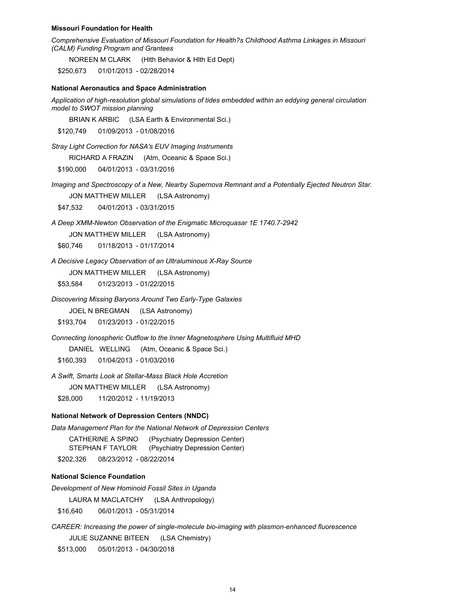#### **Missouri Foundation for Health**

*Comprehensive Evaluation of Missouri Foundation for Health?s Childhood Asthma Linkages in Missouri (CALM) Funding Program and Grantees*

NOREEN M CLARK (Hlth Behavior & Hlth Ed Dept)

\$250,673 01/01/2013 - 02/28/2014

#### **National Aeronautics and Space Administration**

*Application of high-resolution global simulations of tides embedded within an eddying general circulation model to SWOT mission planning*

BRIAN K ARBIC (LSA Earth & Environmental Sci.)

\$120,749 01/09/2013 - 01/08/2016

*Stray Light Correction for NASA's EUV Imaging Instruments*

RICHARD A FRAZIN (Atm, Oceanic & Space Sci.)

\$190,000 04/01/2013 - 03/31/2016

*Imaging and Spectroscopy of a New, Nearby Supernova Remnant and a Potentially Ejected Neutron Star.*

JON MATTHEW MILLER (LSA Astronomy)

\$47,532 04/01/2013 - 03/31/2015

*A Deep XMM-Newton Observation of the Enigmatic Microquasar 1E 1740.7-2942* 

JON MATTHEW MILLER (LSA Astronomy)

\$60,746 01/18/2013 - 01/17/2014

*A Decisive Legacy Observation of an Ultraluminous X-Ray Source* 

JON MATTHEW MILLER (LSA Astronomy)

\$53,584 01/23/2013 - 01/22/2015

*Discovering Missing Baryons Around Two Early-Type Galaxies*

JOEL N BREGMAN (LSA Astronomy)

\$193,704 01/23/2013 - 01/22/2015

*Connecting Ionospheric Outflow to the Inner Magnetosphere Using Multifluid MHD*

DANIEL WELLING (Atm, Oceanic & Space Sci.)

\$160,393 01/04/2013 - 01/03/2016

*A Swift, Smarts Look at Stellar-Mass Black Hole Accretion*

JON MATTHEW MILLER (LSA Astronomy)

\$28,000 11/20/2012 - 11/19/2013

### **National Network of Depression Centers (NNDC)**

*Data Management Plan for the National Network of Depression Centers*

|       | CATHERINE A SPINO | (Psychiatry Depression Center) |
|-------|-------------------|--------------------------------|
|       | STEPHAN F TAYLOR  | (Psychiatry Depression Center) |
| 0.000 | 0.00000000        | 0.0000001                      |

\$202,326 08/23/2012 - 08/22/2014

### **National Science Foundation**

*Development of New Hominoid Fossil Sites in Uganda*

LAURA M MACLATCHY (LSA Anthropology)

\$16,640 06/01/2013 - 05/31/2014

*CAREER: Increasing the power of single-molecule bio-imaging with plasmon-enhanced fluorescence*

JULIE SUZANNE BITEEN (LSA Chemistry)

\$513,000 05/01/2013 - 04/30/2018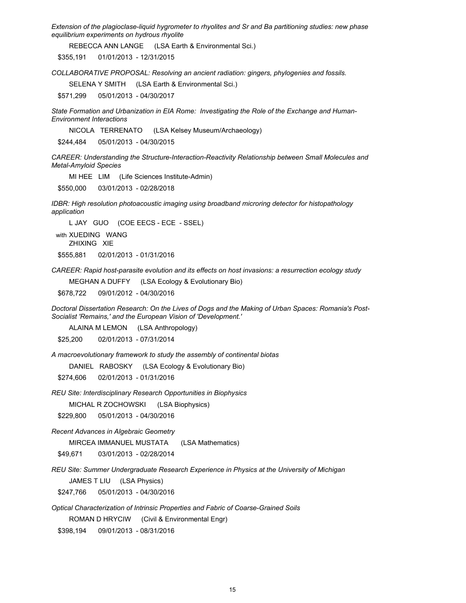*Extension of the plagioclase-liquid hygrometer to rhyolites and Sr and Ba partitioning studies: new phase equilibrium experiments on hydrous rhyolite* 

REBECCA ANN LANGE (LSA Earth & Environmental Sci.)

\$355,191 01/01/2013 - 12/31/2015

*COLLABORATIVE PROPOSAL: Resolving an ancient radiation: gingers, phylogenies and fossils.*

SELENA Y SMITH (LSA Earth & Environmental Sci.)

\$571,299 05/01/2013 - 04/30/2017

*State Formation and Urbanization in EIA Rome: Investigating the Role of the Exchange and Human-Environment Interactions*

NICOLA TERRENATO (LSA Kelsey Museum/Archaeology)

\$244,484 05/01/2013 - 04/30/2015

*CAREER: Understanding the Structure-Interaction-Reactivity Relationship between Small Molecules and Metal-Amyloid Species* 

MI HEE LIM (Life Sciences Institute-Admin)

\$550,000 03/01/2013 - 02/28/2018

*IDBR: High resolution photoacoustic imaging using broadband microring detector for histopathology application*

L JAY GUO (COE EECS - ECE - SSEL)

with XUEDING WANG ZHIXING XIE \$555,881 02/01/2013 - 01/31/2016

*CAREER: Rapid host-parasite evolution and its effects on host invasions: a resurrection ecology study*

MEGHAN A DUFFY (LSA Ecology & Evolutionary Bio)

\$678,722 09/01/2012 - 04/30/2016

*Doctoral Dissertation Research: On the Lives of Dogs and the Making of Urban Spaces: Romania's Post-Socialist 'Remains,' and the European Vision of 'Development.'*

ALAINA M LEMON (LSA Anthropology)

\$25,200 02/01/2013 - 07/31/2014

*A macroevolutionary framework to study the assembly of continental biotas*

DANIEL RABOSKY (LSA Ecology & Evolutionary Bio)

\$274,606 02/01/2013 - 01/31/2016

*REU Site: Interdisciplinary Research Opportunities in Biophysics* 

MICHAL R ZOCHOWSKI (LSA Biophysics)

\$229,800 05/01/2013 - 04/30/2016

*Recent Advances in Algebraic Geometry*

MIRCEA IMMANUEL MUSTATA (LSA Mathematics)

\$49,671 03/01/2013 - 02/28/2014

*REU Site: Summer Undergraduate Research Experience in Physics at the University of Michigan* 

JAMES T LIU (LSA Physics)

\$247,766 05/01/2013 - 04/30/2016

*Optical Characterization of Intrinsic Properties and Fabric of Coarse-Grained Soils*

ROMAN D HRYCIW (Civil & Environmental Engr)

\$398,194 09/01/2013 - 08/31/2016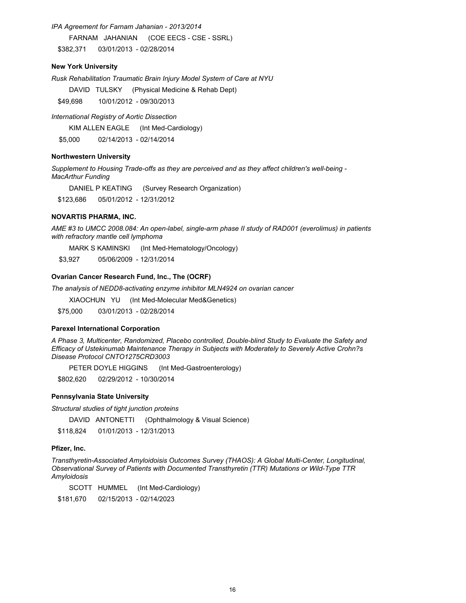*IPA Agreement for Farnam Jahanian - 2013/2014* FARNAM JAHANIAN (COE EECS - CSE - SSRL) \$382,371 03/01/2013 - 02/28/2014

### **New York University**

*Rusk Rehabilitation Traumatic Brain Injury Model System of Care at NYU*

DAVID TULSKY (Physical Medicine & Rehab Dept)

\$49,698 10/01/2012 - 09/30/2013

*International Registry of Aortic Dissection*

KIM ALLEN EAGLE (Int Med-Cardiology)

\$5,000 02/14/2013 - 02/14/2014

### **Northwestern University**

*Supplement to Housing Trade-offs as they are perceived and as they affect children's well-being - MacArthur Funding*

DANIEL P KEATING (Survey Research Organization)

\$123,686 05/01/2012 - 12/31/2012

### **NOVARTIS PHARMA, INC.**

*AME #3 to UMCC 2008.084: An open-label, single-arm phase II study of RAD001 (everolimus) in patients with refractory mantle cell lymphoma* 

MARK S KAMINSKI (Int Med-Hematology/Oncology)

\$3,927 05/06/2009 - 12/31/2014

# **Ovarian Cancer Research Fund, Inc., The (OCRF)**

*The analysis of NEDD8-activating enzyme inhibitor MLN4924 on ovarian cancer*

XIAOCHUN YU (Int Med-Molecular Med&Genetics)

\$75,000 03/01/2013 - 02/28/2014

### **Parexel International Corporation**

*A Phase 3, Multicenter, Randomized, Placebo controlled, Double-blind Study to Evaluate the Safety and Efficacy of Ustekinumab Maintenance Therapy in Subjects with Moderately to Severely Active Crohn?s Disease Protocol CNTO1275CRD3003* 

PETER DOYLE HIGGINS (Int Med-Gastroenterology)

\$802,620 02/29/2012 - 10/30/2014

#### **Pennsylvania State University**

*Structural studies of tight junction proteins*

DAVID ANTONETTI (Ophthalmology & Visual Science)

\$118,824 01/01/2013 - 12/31/2013

#### **Pfizer, Inc.**

*Transthyretin-Associated Amyloidoisis Outcomes Survey (THAOS): A Global Multi-Center, Longitudinal, Observational Survey of Patients with Documented Transthyretin (TTR) Mutations or Wild-Type TTR Amyloidosis*

SCOTT HUMMEL (Int Med-Cardiology)

\$181,670 02/15/2013 - 02/14/2023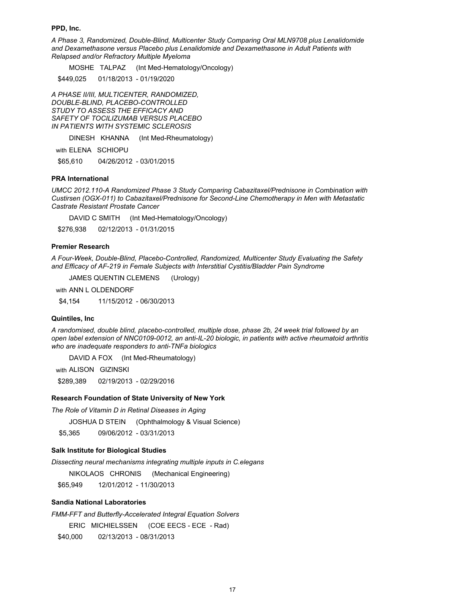#### **PPD, Inc.**

*A Phase 3, Randomized, Double-Blind, Multicenter Study Comparing Oral MLN9708 plus Lenalidomide and Dexamethasone versus Placebo plus Lenalidomide and Dexamethasone in Adult Patients with Relapsed and/or Refractory Multiple Myeloma*

MOSHE TALPAZ (Int Med-Hematology/Oncology)

\$449,025 01/18/2013 - 01/19/2020

*A PHASE II/III, MULTICENTER, RANDOMIZED, DOUBLE-BLIND, PLACEBO-CONTROLLED STUDY TO ASSESS THE EFFICACY AND SAFETY OF TOCILIZUMAB VERSUS PLACEBO IN PATIENTS WITH SYSTEMIC SCLEROSIS*

DINESH KHANNA (Int Med-Rheumatology)

with ELENA SCHIOPU

\$65,610 04/26/2012 - 03/01/2015

#### **PRA International**

*UMCC 2012.110-A Randomized Phase 3 Study Comparing Cabazitaxel/Prednisone in Combination with Custirsen (OGX-011) to Cabazitaxel/Prednisone for Second-Line Chemotherapy in Men with Metastatic Castrate Resistant Prostate Cancer* 

DAVID C SMITH (Int Med-Hematology/Oncology)

\$276,938 02/12/2013 - 01/31/2015

### **Premier Research**

*A Four-Week, Double-Blind, Placebo-Controlled, Randomized, Multicenter Study Evaluating the Safety and Efficacy of AF-219 in Female Subjects with Interstitial Cystitis/Bladder Pain Syndrome*

JAMES QUENTIN CLEMENS (Urology)

with ANN L OLDENDORF

\$4,154 11/15/2012 - 06/30/2013

#### **Quintiles, Inc**

*A randomised, double blind, placebo-controlled, multiple dose, phase 2b, 24 week trial followed by an open label extension of NNC0109-0012, an anti-IL-20 biologic, in patients with active rheumatoid arthritis who are inadequate responders to anti-TNFa biologics*

DAVID A FOX (Int Med-Rheumatology)

with ALISON GIZINSKI

\$289,389 02/19/2013 - 02/29/2016

#### **Research Foundation of State University of New York**

*The Role of Vitamin D in Retinal Diseases in Aging*

JOSHUA D STEIN (Ophthalmology & Visual Science)

\$5,365 09/06/2012 - 03/31/2013

#### **Salk Institute for Biological Studies**

*Dissecting neural mechanisms integrating multiple inputs in C.elegans*

NIKOLAOS CHRONIS (Mechanical Engineering)

\$65,949 12/01/2012 - 11/30/2013

# **Sandia National Laboratories**

*FMM-FFT and Butterfly-Accelerated Integral Equation Solvers*

ERIC MICHIELSSEN (COE EECS - ECE - Rad)

\$40,000 02/13/2013 - 08/31/2013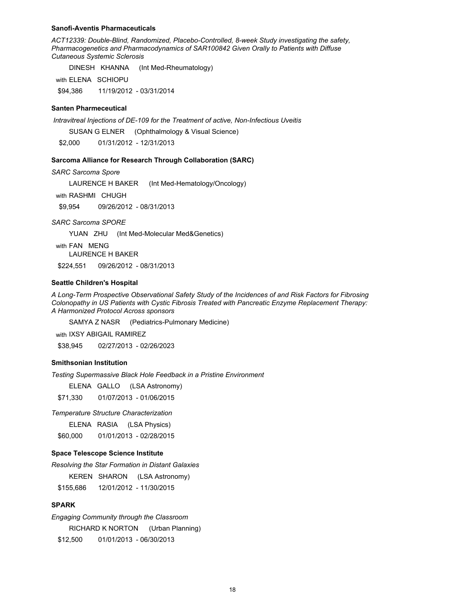#### **Sanofi-Aventis Pharmaceuticals**

*ACT12339: Double-Blind, Randomized, Placebo-Controlled, 8-week Study investigating the safety, Pharmacogenetics and Pharmacodynamics of SAR100842 Given Orally to Patients with Diffuse Cutaneous Systemic Sclerosis*

DINESH KHANNA (Int Med-Rheumatology)

with ELENA SCHIOPU

\$94,386 11/19/2012 - 03/31/2014

### **Santen Pharmeceutical**

 *Intravitreal Injections of DE-109 for the Treatment of active, Non-Infectious Uveitis*

SUSAN G ELNER (Ophthalmology & Visual Science)

\$2,000 01/31/2012 - 12/31/2013

#### **Sarcoma Alliance for Research Through Collaboration (SARC)**

*SARC Sarcoma Spore*

LAURENCE H BAKER (Int Med-Hematology/Oncology)

with RASHMI CHUGH

\$9,954 09/26/2012 - 08/31/2013

*SARC Sarcoma SPORE*

YUAN ZHU (Int Med-Molecular Med&Genetics)

with FAN MENG LAURENCE H BAKER

\$224,551 09/26/2012 - 08/31/2013

#### **Seattle Children's Hospital**

*A Long-Term Prospective Observational Safety Study of the Incidences of and Risk Factors for Fibrosing Colonopathy in US Patients with Cystic Fibrosis Treated with Pancreatic Enzyme Replacement Therapy: A Harmonized Protocol Across sponsors*

SAMYA Z NASR (Pediatrics-Pulmonary Medicine)

with IXSY ABIGAIL RAMIREZ

\$38,945 02/27/2013 - 02/26/2023

### **Smithsonian Institution**

*Testing Supermassive Black Hole Feedback in a Pristine Environment*

ELENA GALLO (LSA Astronomy)

\$71,330 01/07/2013 - 01/06/2015

*Temperature Structure Characterization*

ELENA RASIA (LSA Physics)

\$60,000 01/01/2013 - 02/28/2015

### **Space Telescope Science Institute**

*Resolving the Star Formation in Distant Galaxies*

KEREN SHARON (LSA Astronomy)

\$155,686 12/01/2012 - 11/30/2015

### **SPARK**

*Engaging Community through the Classroom* RICHARD K NORTON (Urban Planning) \$12,500 01/01/2013 - 06/30/2013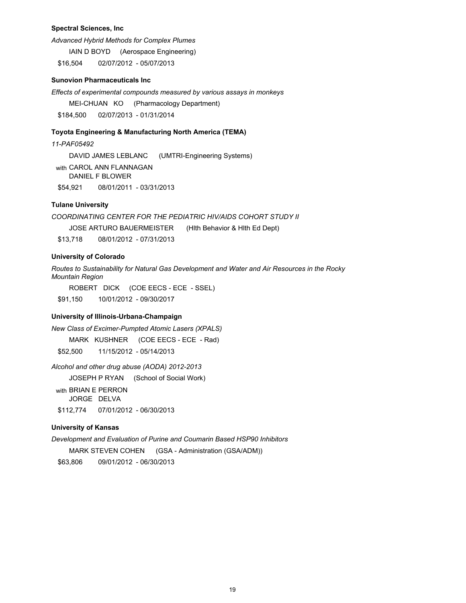### **Spectral Sciences, Inc**

*Advanced Hybrid Methods for Complex Plumes*

IAIN D BOYD (Aerospace Engineering)

\$16,504 02/07/2012 - 05/07/2013

### **Sunovion Pharmaceuticals Inc**

*Effects of experimental compounds measured by various assays in monkeys*

MEI-CHUAN KO (Pharmacology Department)

\$184,500 02/07/2013 - 01/31/2014

### **Toyota Engineering & Manufacturing North America (TEMA)**

*11-PAF05492* DAVID JAMES LEBLANC (UMTRI-Engineering Systems) with CAROL ANN FLANNAGAN DANIEL F BLOWER \$54,921 08/01/2011 - 03/31/2013

# **Tulane University**

*COORDINATING CENTER FOR THE PEDIATRIC HIV/AIDS COHORT STUDY II* JOSE ARTURO BAUERMEISTER (Hlth Behavior & Hlth Ed Dept) \$13,718 08/01/2012 - 07/31/2013

#### **University of Colorado**

*Routes to Sustainability for Natural Gas Development and Water and Air Resources in the Rocky Mountain Region*

ROBERT DICK (COE EECS - ECE - SSEL)

\$91,150 10/01/2012 - 09/30/2017

### **University of Illinois-Urbana-Champaign**

*New Class of Excimer-Pumpted Atomic Lasers (XPALS)*

MARK KUSHNER (COE EECS - ECE - Rad)

\$52,500 11/15/2012 - 05/14/2013

*Alcohol and other drug abuse (AODA) 2012-2013*

JOSEPH P RYAN (School of Social Work)

with BRIAN E PERRON JORGE DELVA \$112,774 07/01/2012 - 06/30/2013

### **University of Kansas**

*Development and Evaluation of Purine and Coumarin Based HSP90 Inhibitors*

MARK STEVEN COHEN (GSA - Administration (GSA/ADM))

\$63,806 09/01/2012 - 06/30/2013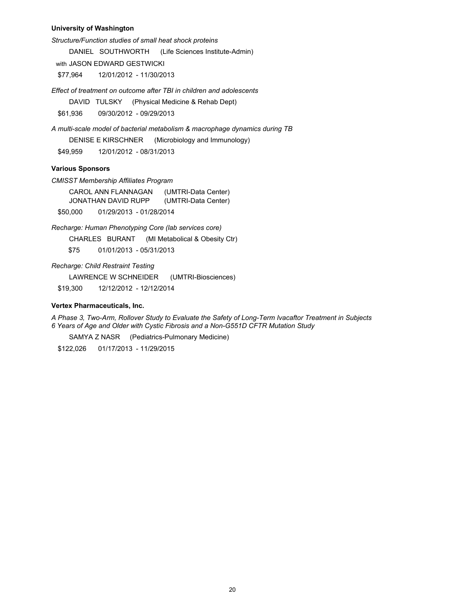### **University of Washington**

*Structure/Function studies of small heat shock proteins*

DANIEL SOUTHWORTH (Life Sciences Institute-Admin)

with JASON EDWARD GESTWICKI

\$77,964 12/01/2012 - 11/30/2013

*Effect of treatment on outcome after TBI in children and adolescents*

DAVID TULSKY (Physical Medicine & Rehab Dept)

\$61,936 09/30/2012 - 09/29/2013

*A multi-scale model of bacterial metabolism & macrophage dynamics during TB* DENISE E KIRSCHNER (Microbiology and Immunology) \$49,959 12/01/2012 - 08/31/2013

### **Various Sponsors**

*CMISST Membership Affiliates Program*

CAROL ANN FLANNAGAN (UMTRI-Data Center) JONATHAN DAVID RUPP (UMTRI-Data Center) \$50,000 01/29/2013 - 01/28/2014

*Recharge: Human Phenotyping Core (lab services core)*

CHARLES BURANT (MI Metabolical & Obesity Ctr)

\$75 01/01/2013 - 05/31/2013

*Recharge: Child Restraint Testing*

LAWRENCE W SCHNEIDER (UMTRI-Biosciences)

\$19,300 12/12/2012 - 12/12/2014

# **Vertex Pharmaceuticals, Inc.**

*A Phase 3, Two-Arm, Rollover Study to Evaluate the Safety of Long-Term Ivacaftor Treatment in Subjects 6 Years of Age and Older with Cystic Fibrosis and a Non-G551D CFTR Mutation Study* 

SAMYA Z NASR (Pediatrics-Pulmonary Medicine)

\$122,026 01/17/2013 - 11/29/2015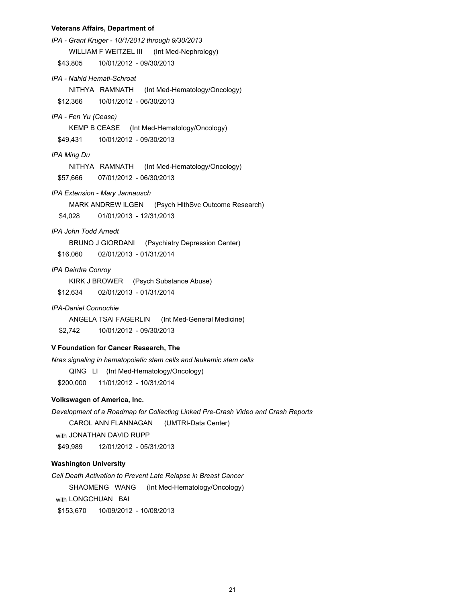#### **Veterans Affairs, Department of**

*IPA - Grant Kruger - 10/1/2012 through 9/30/2013* WILLIAM F WEITZEL III (Int Med-Nephrology) \$43,805 10/01/2012 - 09/30/2013 *IPA - Nahid Hemati-Schroat* NITHYA RAMNATH (Int Med-Hematology/Oncology) \$12,366 10/01/2012 - 06/30/2013 *IPA - Fen Yu (Cease)* KEMP B CEASE (Int Med-Hematology/Oncology) \$49,431 10/01/2012 - 09/30/2013 *IPA Ming Du* NITHYA RAMNATH (Int Med-Hematology/Oncology) \$57,666 07/01/2012 - 06/30/2013 *IPA Extension - Mary Jannausch* MARK ANDREW ILGEN (Psych HlthSvc Outcome Research) \$4,028 01/01/2013 - 12/31/2013 *IPA John Todd Arnedt* BRUNO J GIORDANI (Psychiatry Depression Center) \$16,060 02/01/2013 - 01/31/2014 *IPA Deirdre Conroy* KIRK J BROWER (Psych Substance Abuse) \$12,634 02/01/2013 - 01/31/2014 *IPA-Daniel Connochie* ANGELA TSAI FAGERLIN (Int Med-General Medicine) \$2,742 10/01/2012 - 09/30/2013 *Nras signaling in hematopoietic stem cells and leukemic stem cells* QING LI (Int Med-Hematology/Oncology) **V Foundation for Cancer Research, The**

\$200,000 11/01/2012 - 10/31/2014

# **Volkswagen of America, Inc.**

*Development of a Roadmap for Collecting Linked Pre-Crash Video and Crash Reports* CAROL ANN FLANNAGAN (UMTRI-Data Center) with JONATHAN DAVID RUPP \$49,989 12/01/2012 - 05/31/2013

# **Washington University**

*Cell Death Activation to Prevent Late Relapse in Breast Cancer* SHAOMENG WANG (Int Med-Hematology/Oncology) with LONGCHUAN BAI \$153,670 10/09/2012 - 10/08/2013